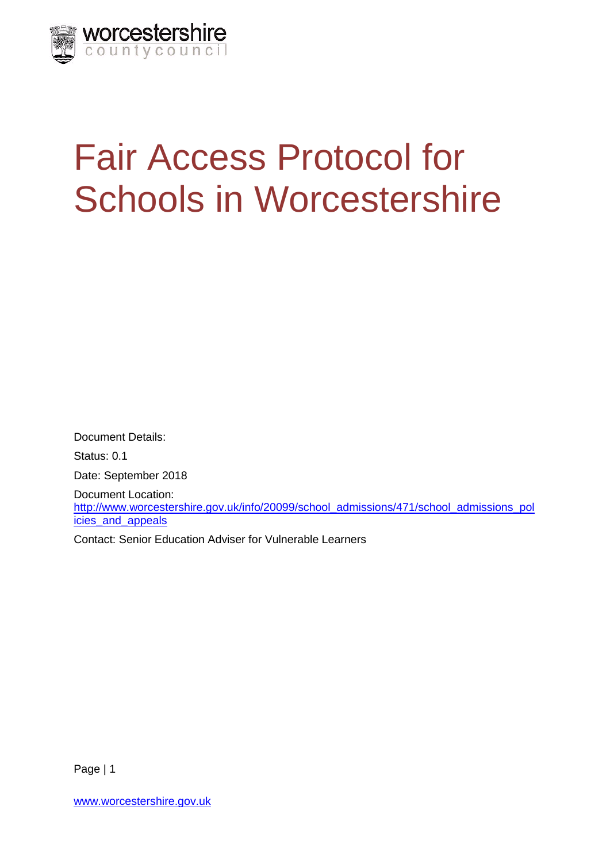

# Fair Access Protocol for Schools in Worcestershire

Document Details: Status: 0.1 Date: September 2018 Document Location: [http://www.worcestershire.gov.uk/info/20099/school\\_admissions/471/school\\_admissions\\_pol](http://www.worcestershire.gov.uk/info/20099/school_admissions/471/school_admissions_policies_and_appeals) [icies\\_and\\_appeals](http://www.worcestershire.gov.uk/info/20099/school_admissions/471/school_admissions_policies_and_appeals)

Contact: Senior Education Adviser for Vulnerable Learners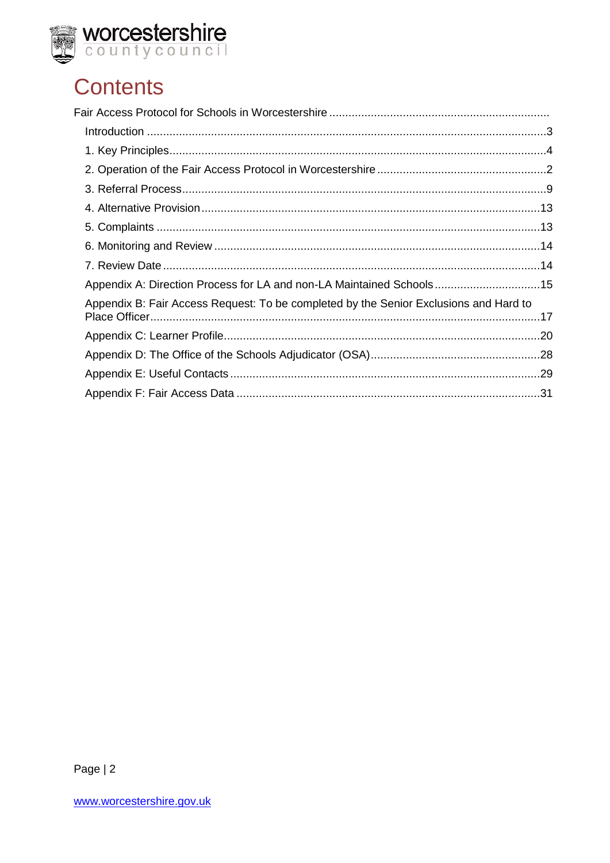

# **Contents**

| Appendix A: Direction Process for LA and non-LA Maintained Schools15                  |  |
|---------------------------------------------------------------------------------------|--|
| Appendix B: Fair Access Request: To be completed by the Senior Exclusions and Hard to |  |
|                                                                                       |  |
|                                                                                       |  |
|                                                                                       |  |
|                                                                                       |  |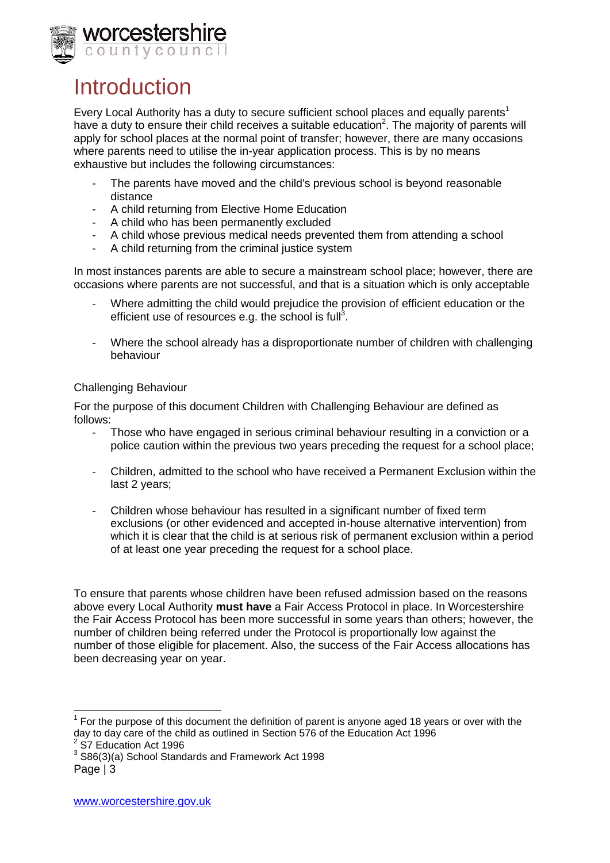

### Introduction

Every Local Authority has a duty to secure sufficient school places and equally parents<sup>1</sup> have a duty to ensure their child receives a suitable education<sup>2</sup>. The majority of parents will apply for school places at the normal point of transfer; however, there are many occasions where parents need to utilise the in-year application process. This is by no means exhaustive but includes the following circumstances:

- The parents have moved and the child's previous school is beyond reasonable distance
- A child returning from Elective Home Education
- A child who has been permanently excluded
- A child whose previous medical needs prevented them from attending a school
- A child returning from the criminal justice system

In most instances parents are able to secure a mainstream school place; however, there are occasions where parents are not successful, and that is a situation which is only acceptable

- Where admitting the child would prejudice the provision of efficient education or the efficient use of resources e.g. the school is full<sup>3</sup>.
- Where the school already has a disproportionate number of children with challenging behaviour

#### Challenging Behaviour

For the purpose of this document Children with Challenging Behaviour are defined as follows:

- Those who have engaged in serious criminal behaviour resulting in a conviction or a police caution within the previous two years preceding the request for a school place;
- Children, admitted to the school who have received a Permanent Exclusion within the last 2 years;
- Children whose behaviour has resulted in a significant number of fixed term exclusions (or other evidenced and accepted in-house alternative intervention) from which it is clear that the child is at serious risk of permanent exclusion within a period of at least one year preceding the request for a school place.

To ensure that parents whose children have been refused admission based on the reasons above every Local Authority **must have** a Fair Access Protocol in place. In Worcestershire the Fair Access Protocol has been more successful in some years than others; however, the number of children being referred under the Protocol is proportionally low against the number of those eligible for placement. Also, the success of the Fair Access allocations has been decreasing year on year.

<sup>————————————————————&</sup>lt;br><sup>1</sup> For the purpose of this document the definition of parent is anyone aged 18 years or over with the day to day care of the child as outlined in Section 576 of the Education Act 1996 2

S7 Education Act 1996

Page | 3  $3$  S86(3)(a) School Standards and Framework Act 1998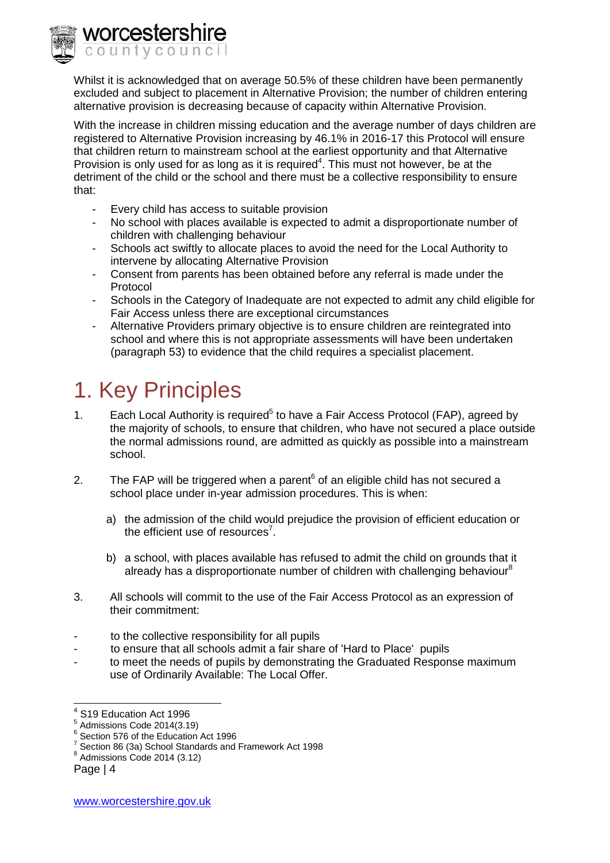orcestershire ountvcouncil

> Whilst it is acknowledged that on average 50.5% of these children have been permanently excluded and subject to placement in Alternative Provision; the number of children entering alternative provision is decreasing because of capacity within Alternative Provision.

With the increase in children missing education and the average number of days children are registered to Alternative Provision increasing by 46.1% in 2016-17 this Protocol will ensure that children return to mainstream school at the earliest opportunity and that Alternative Provision is only used for as long as it is required<sup>4</sup>. This must not however, be at the detriment of the child or the school and there must be a collective responsibility to ensure that:

- Every child has access to suitable provision
- No school with places available is expected to admit a disproportionate number of children with challenging behaviour
- Schools act swiftly to allocate places to avoid the need for the Local Authority to intervene by allocating Alternative Provision
- Consent from parents has been obtained before any referral is made under the Protocol
- Schools in the Category of Inadequate are not expected to admit any child eligible for Fair Access unless there are exceptional circumstances
- Alternative Providers primary objective is to ensure children are reintegrated into school and where this is not appropriate assessments will have been undertaken (paragraph 53) to evidence that the child requires a specialist placement.

# 1. Key Principles

- 1. Each Local Authority is required<sup>5</sup> to have a Fair Access Protocol (FAP), agreed by the majority of schools, to ensure that children, who have not secured a place outside the normal admissions round, are admitted as quickly as possible into a mainstream school.
- 2. The FAP will be triggered when a parent $6$  of an eligible child has not secured a school place under in-year admission procedures. This is when:
	- a) the admission of the child would prejudice the provision of efficient education or the efficient use of resources<sup>7</sup>.
	- b) a school, with places available has refused to admit the child on grounds that it already has a disproportionate number of children with challenging behaviour<sup>8</sup>
- 3. All schools will commit to the use of the Fair Access Protocol as an expression of their commitment:
- to the collective responsibility for all pupils
- to ensure that all schools admit a fair share of 'Hard to Place' pupils
- to meet the needs of pupils by demonstrating the Graduated Response maximum use of Ordinarily Available: The Local Offer.

 4 S19 Education Act 1996

<sup>5</sup> Admissions Code 2014(3.19)

<sup>6</sup> Section 576 of the Education Act 1996

 $7$  Section 86 (3a) School Standards and Framework Act 1998

<sup>8</sup> Admissions Code 2014 (3.12)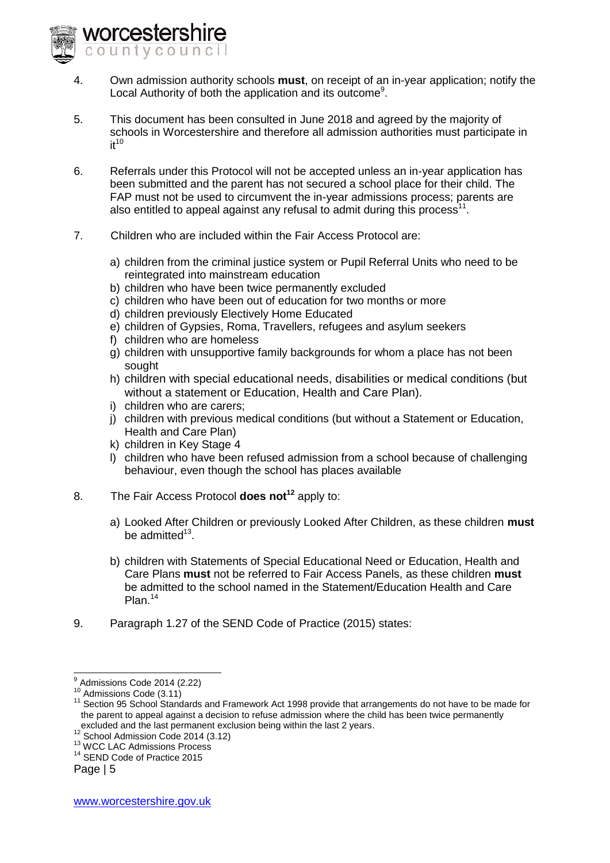- 4. Own admission authority schools **must**, on receipt of an in-year application; notify the Local Authority of both the application and its outcome<sup>9</sup>.
- 5. This document has been consulted in June 2018 and agreed by the majority of schools in Worcestershire and therefore all admission authorities must participate in  $it^{10}$
- 6. Referrals under this Protocol will not be accepted unless an in-year application has been submitted and the parent has not secured a school place for their child. The FAP must not be used to circumvent the in-year admissions process; parents are also entitled to appeal against any refusal to admit during this process<sup>11</sup>.
- 7. Children who are included within the Fair Access Protocol are:
	- a) children from the criminal justice system or Pupil Referral Units who need to be reintegrated into mainstream education
	- b) children who have been twice permanently excluded
	- c) children who have been out of education for two months or more
	- d) children previously Electively Home Educated
	- e) children of Gypsies, Roma, Travellers, refugees and asylum seekers
	- f) children who are homeless

rorcestershire ountvcouncil

- g) children with unsupportive family backgrounds for whom a place has not been sought
- h) children with special educational needs, disabilities or medical conditions (but without a statement or Education, Health and Care Plan).
- i) children who are carers;
- j) children with previous medical conditions (but without a Statement or Education, Health and Care Plan)
- k) children in Key Stage 4
- l) children who have been refused admission from a school because of challenging behaviour, even though the school has places available
- 8. The Fair Access Protocol **does not<sup>12</sup>** apply to:
	- a) Looked After Children or previously Looked After Children, as these children **must** be admitted<sup>13</sup>.
	- b) children with Statements of Special Educational Need or Education, Health and Care Plans **must** not be referred to Fair Access Panels, as these children **must** be admitted to the school named in the Statement/Education Health and Care Plan.<sup>14</sup>
- 9. Paragraph 1.27 of the SEND Code of Practice (2015) states:

 9 Admissions Code 2014 (2.22)

 $10$  Admissions Code (3.11)

<sup>&</sup>lt;sup>11</sup> Section 95 School Standards and Framework Act 1998 provide that arrangements do not have to be made for the parent to appeal against a decision to refuse admission where the child has been twice permanently excluded and the last permanent exclusion being within the last 2 years.

<sup>&</sup>lt;sup>12</sup> School Admission Code 2014 (3.12)

<sup>&</sup>lt;sup>13</sup> WCC LAC Admissions Process

<sup>&</sup>lt;sup>14</sup> SEND Code of Practice 2015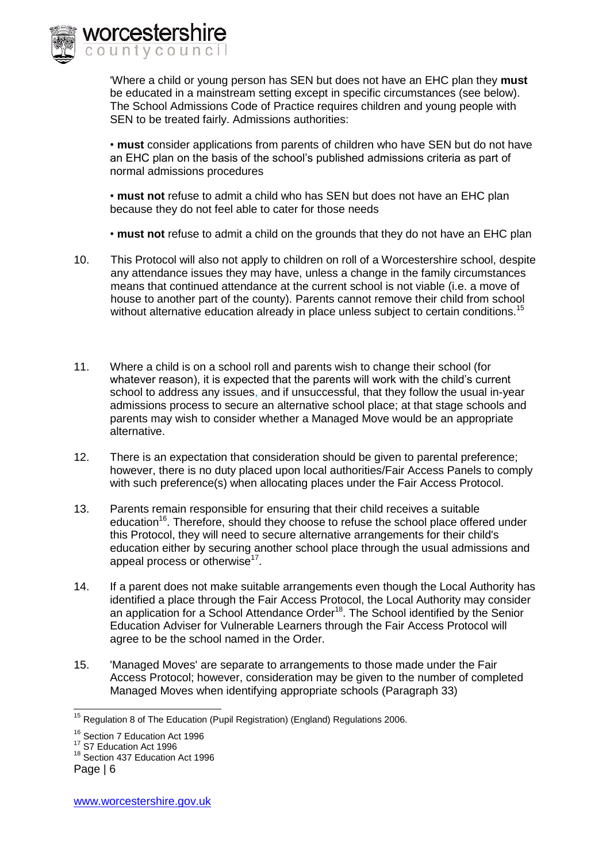

'Where a child or young person has SEN but does not have an EHC plan they **must**  be educated in a mainstream setting except in specific circumstances (see below). The School Admissions Code of Practice requires children and young people with SEN to be treated fairly. Admissions authorities:

• **must** consider applications from parents of children who have SEN but do not have an EHC plan on the basis of the school's published admissions criteria as part of normal admissions procedures

• **must not** refuse to admit a child who has SEN but does not have an EHC plan because they do not feel able to cater for those needs

• **must not** refuse to admit a child on the grounds that they do not have an EHC plan

- 10. This Protocol will also not apply to children on roll of a Worcestershire school, despite any attendance issues they may have, unless a change in the family circumstances means that continued attendance at the current school is not viable (i.e. a move of house to another part of the county). Parents cannot remove their child from school without alternative education already in place unless subject to certain conditions.<sup>15</sup>
- 11. Where a child is on a school roll and parents wish to change their school (for whatever reason), it is expected that the parents will work with the child's current school to address any issues, and if unsuccessful, that they follow the usual in-year admissions process to secure an alternative school place; at that stage schools and parents may wish to consider whether a Managed Move would be an appropriate alternative.
- 12. There is an expectation that consideration should be given to parental preference; however, there is no duty placed upon local authorities/Fair Access Panels to comply with such preference(s) when allocating places under the Fair Access Protocol.
- 13. Parents remain responsible for ensuring that their child receives a suitable education<sup>16</sup>. Therefore, should they choose to refuse the school place offered under this Protocol, they will need to secure alternative arrangements for their child's education either by securing another school place through the usual admissions and appeal process or otherwise $^{17}$ .
- 14. If a parent does not make suitable arrangements even though the Local Authority has identified a place through the Fair Access Protocol, the Local Authority may consider an application for a School Attendance Order<sup>18</sup>. The School identified by the Senior Education Adviser for Vulnerable Learners through the Fair Access Protocol will agree to be the school named in the Order.
- 15. 'Managed Moves' are separate to arrangements to those made under the Fair Access Protocol; however, consideration may be given to the number of completed Managed Moves when identifying appropriate schools (Paragraph 33)

<sup>-</sup> $15$  Regulation 8 of The Education (Pupil Registration) (England) Regulations 2006.

<sup>&</sup>lt;sup>16</sup> Section 7 Education Act 1996

<sup>&</sup>lt;sup>17</sup> S7 Education Act 1996

<sup>&</sup>lt;sup>18</sup> Section 437 Education Act 1996

Page | 6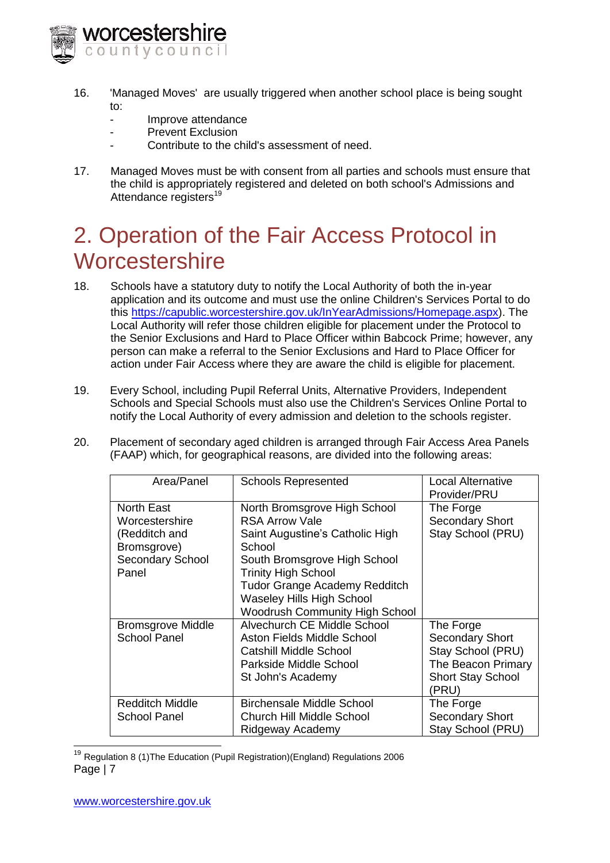

- 16. 'Managed Moves' are usually triggered when another school place is being sought to:
	- Improve attendance
	- Prevent Exclusion
	- Contribute to the child's assessment of need.
- 17. Managed Moves must be with consent from all parties and schools must ensure that the child is appropriately registered and deleted on both school's Admissions and Attendance registers<sup>19</sup>

# 2. Operation of the Fair Access Protocol in **Worcestershire**

- 18. Schools have a statutory duty to notify the Local Authority of both the in-year application and its outcome and must use the online Children's Services Portal to do this [https://capublic.worcestershire.gov.uk/InYearAdmissions/Homepage.aspx\)](https://capublic.worcestershire.gov.uk/InYearAdmissions/Homepage.aspx). The Local Authority will refer those children eligible for placement under the Protocol to the Senior Exclusions and Hard to Place Officer within Babcock Prime; however, any person can make a referral to the Senior Exclusions and Hard to Place Officer for action under Fair Access where they are aware the child is eligible for placement.
- 19. Every School, including Pupil Referral Units, Alternative Providers, Independent Schools and Special Schools must also use the Children's Services Online Portal to notify the Local Authority of every admission and deletion to the schools register.
- 20. Placement of secondary aged children is arranged through Fair Access Area Panels (FAAP) which, for geographical reasons, are divided into the following areas:

| Area/Panel                                                                                | <b>Schools Represented</b>                                                                                                                                                                                                                   | <b>Local Alternative</b><br>Provider/PRU                                                                           |
|-------------------------------------------------------------------------------------------|----------------------------------------------------------------------------------------------------------------------------------------------------------------------------------------------------------------------------------------------|--------------------------------------------------------------------------------------------------------------------|
| North East<br>Worcestershire<br>(Redditch and<br>Bromsgrove)<br>Secondary School<br>Panel | North Bromsgrove High School<br><b>RSA Arrow Vale</b><br>Saint Augustine's Catholic High<br>School<br>South Bromsgrove High School<br><b>Trinity High School</b><br><b>Tudor Grange Academy Redditch</b><br><b>Waseley Hills High School</b> | The Forge<br><b>Secondary Short</b><br>Stay School (PRU)                                                           |
| <b>Bromsgrove Middle</b><br><b>School Panel</b>                                           | <b>Woodrush Community High School</b><br>Alvechurch CE Middle School<br>Aston Fields Middle School<br>Catshill Middle School<br>Parkside Middle School<br>St John's Academy                                                                  | The Forge<br><b>Secondary Short</b><br>Stay School (PRU)<br>The Beacon Primary<br><b>Short Stay School</b><br>PRU) |
| Redditch Middle<br>School Panel                                                           | <b>Birchensale Middle School</b><br><b>Church Hill Middle School</b><br>Ridgeway Academy                                                                                                                                                     | The Forge<br><b>Secondary Short</b><br>Stay School (PRU)                                                           |

Page | 7 <sup>19</sup> Regulation 8 (1)The Education (Pupil Registration)(England) Regulations 2006

 $\overline{1}$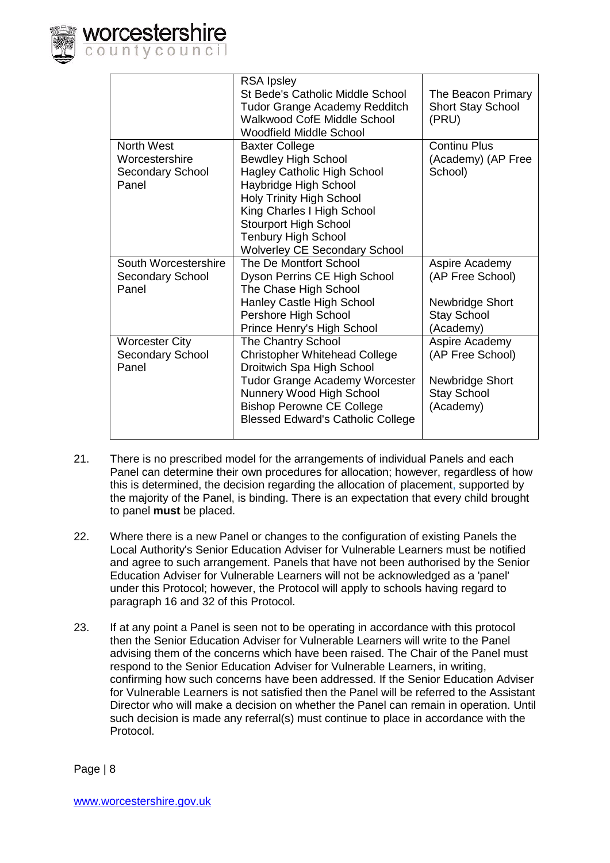

|                       | <b>RSA Ipsley</b><br><b>St Bede's Catholic Middle School</b><br><b>Tudor Grange Academy Redditch</b><br><b>Walkwood CofE Middle School</b><br><b>Woodfield Middle School</b> | The Beacon Primary<br><b>Short Stay School</b><br>(PRU) |
|-----------------------|------------------------------------------------------------------------------------------------------------------------------------------------------------------------------|---------------------------------------------------------|
| <b>North West</b>     | <b>Baxter College</b>                                                                                                                                                        | <b>Continu Plus</b>                                     |
| Worcestershire        | <b>Bewdley High School</b>                                                                                                                                                   | (Academy) (AP Free                                      |
| Secondary School      | <b>Hagley Catholic High School</b>                                                                                                                                           | School)                                                 |
| Panel                 | Haybridge High School                                                                                                                                                        |                                                         |
|                       | <b>Holy Trinity High School</b>                                                                                                                                              |                                                         |
|                       | King Charles I High School                                                                                                                                                   |                                                         |
|                       | <b>Stourport High School</b><br>Tenbury High School                                                                                                                          |                                                         |
|                       | <b>Wolverley CE Secondary School</b>                                                                                                                                         |                                                         |
| South Worcestershire  | The De Montfort School                                                                                                                                                       | Aspire Academy                                          |
| Secondary School      | Dyson Perrins CE High School                                                                                                                                                 | (AP Free School)                                        |
| Panel                 | The Chase High School                                                                                                                                                        |                                                         |
|                       | Hanley Castle High School                                                                                                                                                    | Newbridge Short                                         |
|                       | Pershore High School                                                                                                                                                         | <b>Stay School</b>                                      |
|                       | Prince Henry's High School                                                                                                                                                   | (Academy)                                               |
| <b>Worcester City</b> | <b>The Chantry School</b>                                                                                                                                                    | Aspire Academy                                          |
| Secondary School      | <b>Christopher Whitehead College</b>                                                                                                                                         | (AP Free School)                                        |
| Panel                 | Droitwich Spa High School                                                                                                                                                    |                                                         |
|                       | Tudor Grange Academy Worcester                                                                                                                                               | Newbridge Short                                         |
|                       | Nunnery Wood High School                                                                                                                                                     | <b>Stay School</b>                                      |
|                       | <b>Bishop Perowne CE College</b>                                                                                                                                             | (Academy)                                               |
|                       | <b>Blessed Edward's Catholic College</b>                                                                                                                                     |                                                         |

- 21. There is no prescribed model for the arrangements of individual Panels and each Panel can determine their own procedures for allocation; however, regardless of how this is determined, the decision regarding the allocation of placement, supported by the majority of the Panel, is binding. There is an expectation that every child brought to panel **must** be placed.
- 22. Where there is a new Panel or changes to the configuration of existing Panels the Local Authority's Senior Education Adviser for Vulnerable Learners must be notified and agree to such arrangement. Panels that have not been authorised by the Senior Education Adviser for Vulnerable Learners will not be acknowledged as a 'panel' under this Protocol; however, the Protocol will apply to schools having regard to paragraph 16 and 32 of this Protocol.
- 23. If at any point a Panel is seen not to be operating in accordance with this protocol then the Senior Education Adviser for Vulnerable Learners will write to the Panel advising them of the concerns which have been raised. The Chair of the Panel must respond to the Senior Education Adviser for Vulnerable Learners, in writing, confirming how such concerns have been addressed. If the Senior Education Adviser for Vulnerable Learners is not satisfied then the Panel will be referred to the Assistant Director who will make a decision on whether the Panel can remain in operation. Until such decision is made any referral(s) must continue to place in accordance with the Protocol.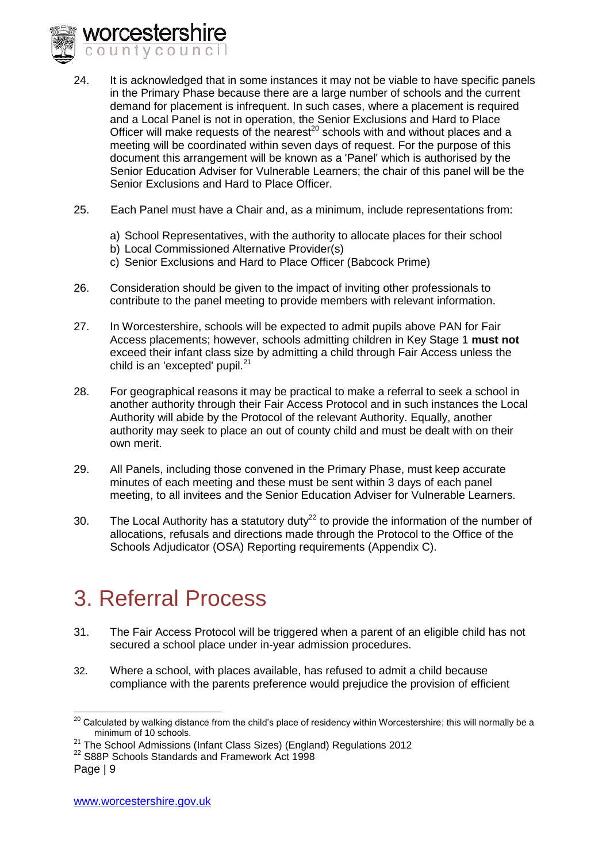

- 24. It is acknowledged that in some instances it may not be viable to have specific panels in the Primary Phase because there are a large number of schools and the current demand for placement is infrequent. In such cases, where a placement is required and a Local Panel is not in operation, the Senior Exclusions and Hard to Place Officer will make requests of the nearest<sup>20</sup> schools with and without places and a meeting will be coordinated within seven days of request. For the purpose of this document this arrangement will be known as a 'Panel' which is authorised by the Senior Education Adviser for Vulnerable Learners; the chair of this panel will be the Senior Exclusions and Hard to Place Officer.
- 25. Each Panel must have a Chair and, as a minimum, include representations from:
	- a) School Representatives, with the authority to allocate places for their school
	- b) Local Commissioned Alternative Provider(s)
	- c) Senior Exclusions and Hard to Place Officer (Babcock Prime)
- 26. Consideration should be given to the impact of inviting other professionals to contribute to the panel meeting to provide members with relevant information.
- 27. In Worcestershire, schools will be expected to admit pupils above PAN for Fair Access placements; however, schools admitting children in Key Stage 1 **must not**  exceed their infant class size by admitting a child through Fair Access unless the child is an 'excepted' pupil. $^{21}$
- 28. For geographical reasons it may be practical to make a referral to seek a school in another authority through their Fair Access Protocol and in such instances the Local Authority will abide by the Protocol of the relevant Authority. Equally, another authority may seek to place an out of county child and must be dealt with on their own merit.
- 29. All Panels, including those convened in the Primary Phase, must keep accurate minutes of each meeting and these must be sent within 3 days of each panel meeting, to all invitees and the Senior Education Adviser for Vulnerable Learners.
- 30. The Local Authority has a statutory duty<sup>22</sup> to provide the information of the number of allocations, refusals and directions made through the Protocol to the Office of the Schools Adjudicator (OSA) Reporting requirements (Appendix C).

# 3. Referral Process

- 31. The Fair Access Protocol will be triggered when a parent of an eligible child has not secured a school place under in-year admission procedures.
- 32. Where a school, with places available, has refused to admit a child because compliance with the parents preference would prejudice the provision of efficient

<sup>-</sup> $^{20}$  Calculated by walking distance from the child's place of residency within Worcestershire; this will normally be a minimum of 10 schools.

<sup>&</sup>lt;sup>21</sup> The School Admissions (Infant Class Sizes) (England) Regulations 2012

<sup>&</sup>lt;sup>22</sup> S88P Schools Standards and Framework Act 1998

Page | 9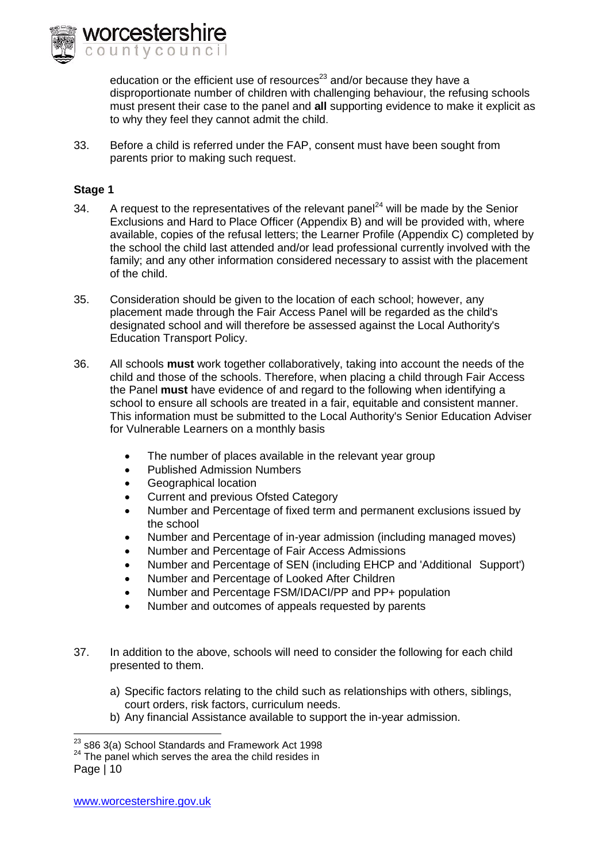

education or the efficient use of resources $^{23}$  and/or because they have a disproportionate number of children with challenging behaviour, the refusing schools must present their case to the panel and **all** supporting evidence to make it explicit as to why they feel they cannot admit the child.

33. Before a child is referred under the FAP, consent must have been sought from parents prior to making such request.

#### **Stage 1**

- 34. A request to the representatives of the relevant panel<sup>24</sup> will be made by the Senior Exclusions and Hard to Place Officer (Appendix B) and will be provided with, where available, copies of the refusal letters; the Learner Profile (Appendix C) completed by the school the child last attended and/or lead professional currently involved with the family; and any other information considered necessary to assist with the placement of the child.
- 35. Consideration should be given to the location of each school; however, any placement made through the Fair Access Panel will be regarded as the child's designated school and will therefore be assessed against the Local Authority's Education Transport Policy.
- 36. All schools **must** work together collaboratively, taking into account the needs of the child and those of the schools. Therefore, when placing a child through Fair Access the Panel **must** have evidence of and regard to the following when identifying a school to ensure all schools are treated in a fair, equitable and consistent manner. This information must be submitted to the Local Authority's Senior Education Adviser for Vulnerable Learners on a monthly basis
	- The number of places available in the relevant year group
	- Published Admission Numbers
	- Geographical location
	- Current and previous Ofsted Category
	- Number and Percentage of fixed term and permanent exclusions issued by the school
	- Number and Percentage of in-year admission (including managed moves)
	- Number and Percentage of Fair Access Admissions
	- Number and Percentage of SEN (including EHCP and 'Additional Support')
	- Number and Percentage of Looked After Children
	- Number and Percentage FSM/IDACI/PP and PP+ population
	- Number and outcomes of appeals requested by parents
- 37. In addition to the above, schools will need to consider the following for each child presented to them.
	- a) Specific factors relating to the child such as relationships with others, siblings, court orders, risk factors, curriculum needs.
	- b) Any financial Assistance available to support the in-year admission.

-

 $^{23}$  s86 3(a) School Standards and Framework Act 1998

 $24$  The panel which serves the area the child resides in

Page | 10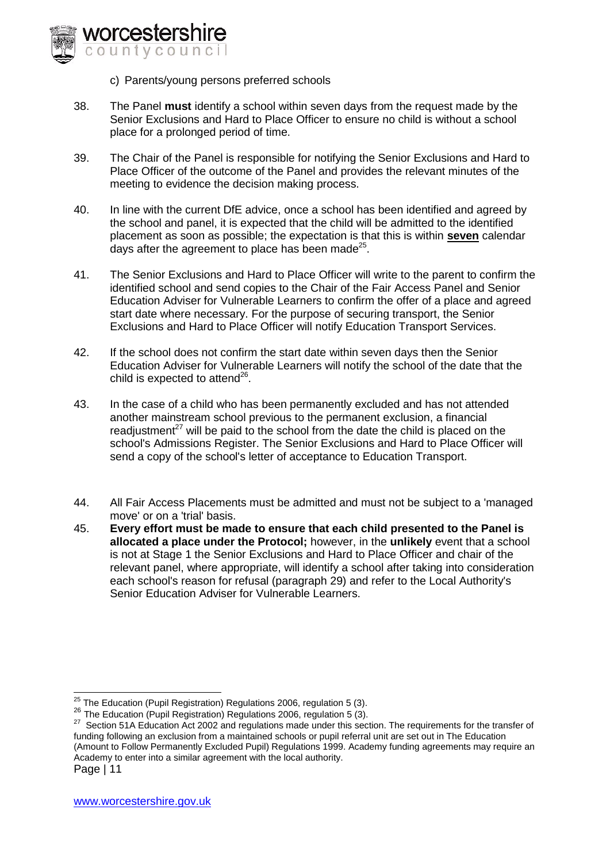

c) Parents/young persons preferred schools

- 38. The Panel **must** identify a school within seven days from the request made by the Senior Exclusions and Hard to Place Officer to ensure no child is without a school place for a prolonged period of time.
- 39. The Chair of the Panel is responsible for notifying the Senior Exclusions and Hard to Place Officer of the outcome of the Panel and provides the relevant minutes of the meeting to evidence the decision making process.
- 40. In line with the current DfE advice, once a school has been identified and agreed by the school and panel, it is expected that the child will be admitted to the identified placement as soon as possible; the expectation is that this is within **seven** calendar days after the agreement to place has been made<sup>25</sup>.
- 41. The Senior Exclusions and Hard to Place Officer will write to the parent to confirm the identified school and send copies to the Chair of the Fair Access Panel and Senior Education Adviser for Vulnerable Learners to confirm the offer of a place and agreed start date where necessary. For the purpose of securing transport, the Senior Exclusions and Hard to Place Officer will notify Education Transport Services.
- 42. If the school does not confirm the start date within seven days then the Senior Education Adviser for Vulnerable Learners will notify the school of the date that the child is expected to attend $^{26}$ .
- 43. In the case of a child who has been permanently excluded and has not attended another mainstream school previous to the permanent exclusion, a financial readiustment<sup>27</sup> will be paid to the school from the date the child is placed on the school's Admissions Register. The Senior Exclusions and Hard to Place Officer will send a copy of the school's letter of acceptance to Education Transport.
- 44. All Fair Access Placements must be admitted and must not be subject to a 'managed move' or on a 'trial' basis.
- 45. **Every effort must be made to ensure that each child presented to the Panel is allocated a place under the Protocol;** however, in the **unlikely** event that a school is not at Stage 1 the Senior Exclusions and Hard to Place Officer and chair of the relevant panel, where appropriate, will identify a school after taking into consideration each school's reason for refusal (paragraph 29) and refer to the Local Authority's Senior Education Adviser for Vulnerable Learners.

 $\overline{a}$  $^{25}$  The Education (Pupil Registration) Regulations 2006, regulation 5 (3).

<sup>&</sup>lt;sup>26</sup> The Education (Pupil Registration) Regulations 2006, regulation 5 (3).

Page | 11 <sup>27</sup> Section 51A Education Act 2002 and regulations made under this section. The requirements for the transfer of funding following an exclusion from a maintained schools or pupil referral unit are set out in The Education (Amount to Follow Permanently Excluded Pupil) Regulations 1999. Academy funding agreements may require an Academy to enter into a similar agreement with the local authority.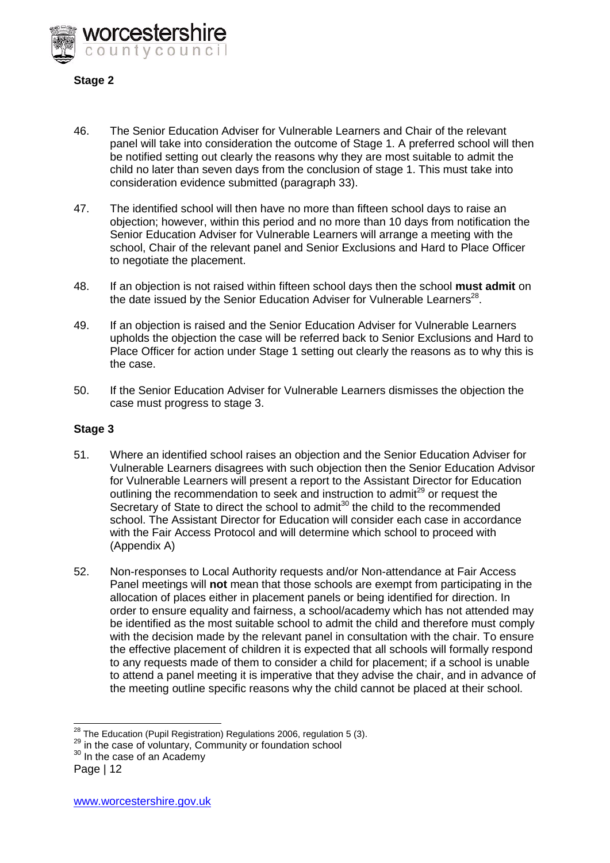

#### **Stage 2**

- 46. The Senior Education Adviser for Vulnerable Learners and Chair of the relevant panel will take into consideration the outcome of Stage 1. A preferred school will then be notified setting out clearly the reasons why they are most suitable to admit the child no later than seven days from the conclusion of stage 1. This must take into consideration evidence submitted (paragraph 33).
- 47. The identified school will then have no more than fifteen school days to raise an objection; however, within this period and no more than 10 days from notification the Senior Education Adviser for Vulnerable Learners will arrange a meeting with the school, Chair of the relevant panel and Senior Exclusions and Hard to Place Officer to negotiate the placement.
- 48. If an objection is not raised within fifteen school days then the school **must admit** on the date issued by the Senior Education Adviser for Vulnerable Learners<sup>28</sup>.
- 49. If an objection is raised and the Senior Education Adviser for Vulnerable Learners upholds the objection the case will be referred back to Senior Exclusions and Hard to Place Officer for action under Stage 1 setting out clearly the reasons as to why this is the case.
- 50. If the Senior Education Adviser for Vulnerable Learners dismisses the objection the case must progress to stage 3.

#### **Stage 3**

- 51. Where an identified school raises an objection and the Senior Education Adviser for Vulnerable Learners disagrees with such objection then the Senior Education Advisor for Vulnerable Learners will present a report to the Assistant Director for Education outlining the recommendation to seek and instruction to admit<sup>29</sup> or request the Secretary of State to direct the school to admit<sup>30</sup> the child to the recommended school. The Assistant Director for Education will consider each case in accordance with the Fair Access Protocol and will determine which school to proceed with (Appendix A)
- 52. Non-responses to Local Authority requests and/or Non-attendance at Fair Access Panel meetings will **not** mean that those schools are exempt from participating in the allocation of places either in placement panels or being identified for direction. In order to ensure equality and fairness, a school/academy which has not attended may be identified as the most suitable school to admit the child and therefore must comply with the decision made by the relevant panel in consultation with the chair. To ensure the effective placement of children it is expected that all schools will formally respond to any requests made of them to consider a child for placement; if a school is unable to attend a panel meeting it is imperative that they advise the chair, and in advance of the meeting outline specific reasons why the child cannot be placed at their school.

<sup>-</sup> $^{28}$  The Education (Pupil Registration) Regulations 2006, regulation 5 (3).

<sup>&</sup>lt;sup>29</sup> in the case of voluntary, Community or foundation school

Page | 12 <sup>30</sup> In the case of an Academy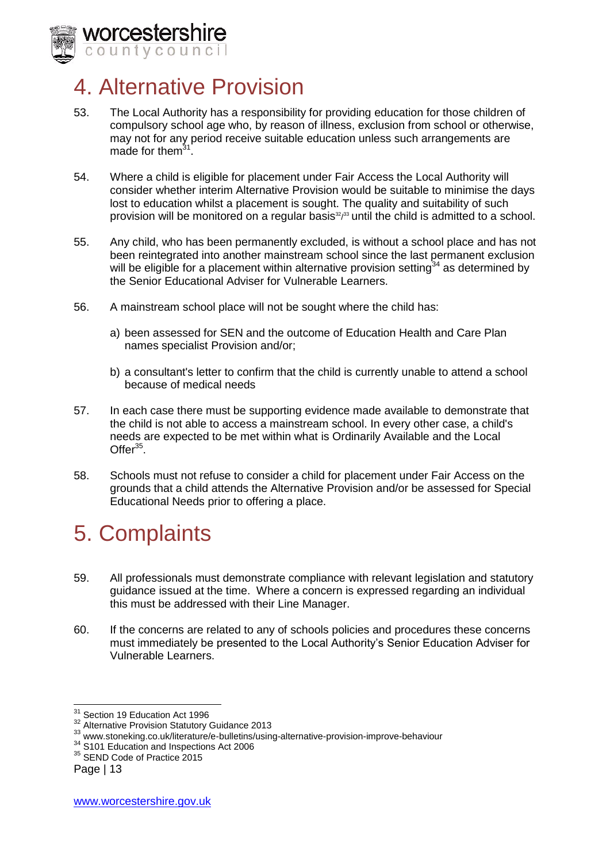

## 4. Alternative Provision

- 53. The Local Authority has a responsibility for providing education for those children of compulsory school age who, by reason of illness, exclusion from school or otherwise, may not for any period receive suitable education unless such arrangements are made for them<sup>3</sup> .
- 54. Where a child is eligible for placement under Fair Access the Local Authority will consider whether interim Alternative Provision would be suitable to minimise the days lost to education whilst a placement is sought. The quality and suitability of such provision will be monitored on a regular basis $32/33$  until the child is admitted to a school.
- 55. Any child, who has been permanently excluded, is without a school place and has not been reintegrated into another mainstream school since the last permanent exclusion will be eligible for a placement within alternative provision setting<sup>34</sup> as determined by the Senior Educational Adviser for Vulnerable Learners.
- 56. A mainstream school place will not be sought where the child has:
	- a) been assessed for SEN and the outcome of Education Health and Care Plan names specialist Provision and/or;
	- b) a consultant's letter to confirm that the child is currently unable to attend a school because of medical needs
- 57. In each case there must be supporting evidence made available to demonstrate that the child is not able to access a mainstream school. In every other case, a child's needs are expected to be met within what is Ordinarily Available and the Local Offer $35$ .
- 58. Schools must not refuse to consider a child for placement under Fair Access on the grounds that a child attends the Alternative Provision and/or be assessed for Special Educational Needs prior to offering a place.

# 5. Complaints

- 59. All professionals must demonstrate compliance with relevant legislation and statutory guidance issued at the time. Where a concern is expressed regarding an individual this must be addressed with their Line Manager.
- 60. If the concerns are related to any of schools policies and procedures these concerns must immediately be presented to the Local Authority's Senior Education Adviser for Vulnerable Learners.

<sup>-</sup><sup>31</sup> Section 19 Education Act 1996

<sup>32</sup> Alternative Provision Statutory Guidance 2013

<sup>33</sup> www.stoneking.co.uk/literature/e-bulletins/using-alternative-provision-improve-behaviour

<sup>&</sup>lt;sup>34</sup> S101 Education and Inspections Act 2006

<sup>&</sup>lt;sup>35</sup> SEND Code of Practice 2015

Page | 13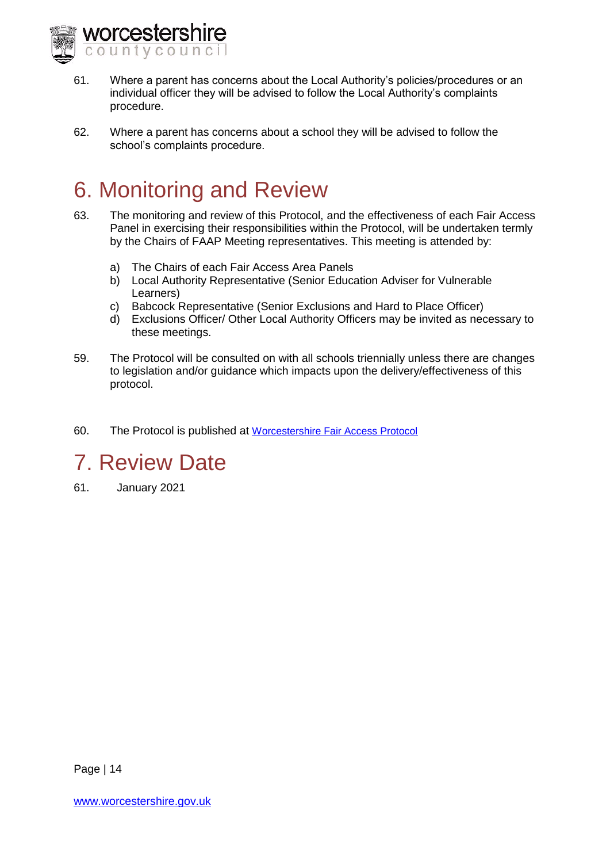

- 61. Where a parent has concerns about the Local Authority's policies/procedures or an individual officer they will be advised to follow the Local Authority's complaints procedure.
- 62. Where a parent has concerns about a school they will be advised to follow the school's complaints procedure.

# 6. Monitoring and Review

- 63. The monitoring and review of this Protocol, and the effectiveness of each Fair Access Panel in exercising their responsibilities within the Protocol, will be undertaken termly by the Chairs of FAAP Meeting representatives. This meeting is attended by:
	- a) The Chairs of each Fair Access Area Panels
	- b) Local Authority Representative (Senior Education Adviser for Vulnerable Learners)
	- c) Babcock Representative (Senior Exclusions and Hard to Place Officer)
	- d) Exclusions Officer/ Other Local Authority Officers may be invited as necessary to these meetings.
- 59. The Protocol will be consulted on with all schools triennially unless there are changes to legislation and/or guidance which impacts upon the delivery/effectiveness of this protocol.
- 60. The Protocol is published at [Worcestershire Fair Access Protocol](http://www.worcestershire.gov.uk/info/20099/school_admissions/471/school_admissions_policies_and_appeals)

# 7. Review Date

61. January 2021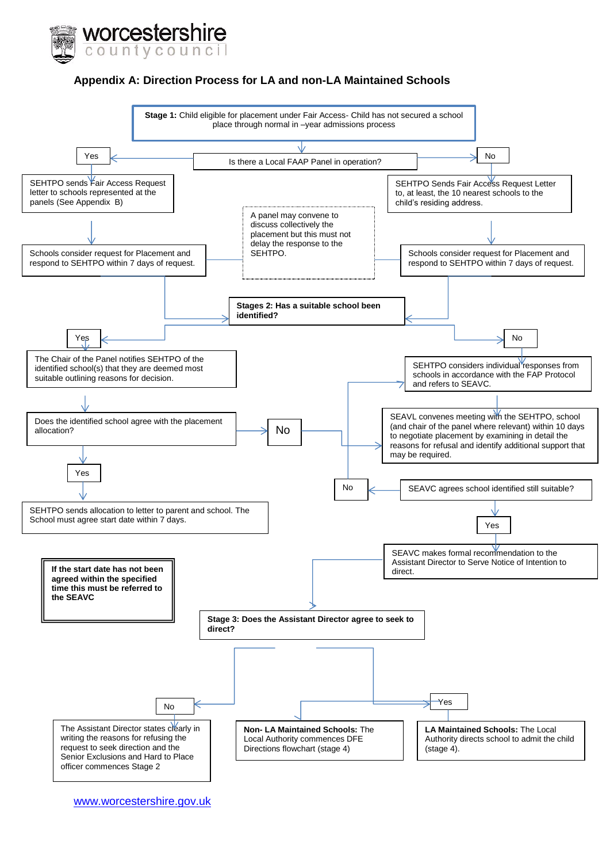

#### <span id="page-14-0"></span>**Appendix A: Direction Process for LA and non-LA Maintained Schools**



[www.worcestershire.gov.uk](http://www.worcestershire.gov.uk/)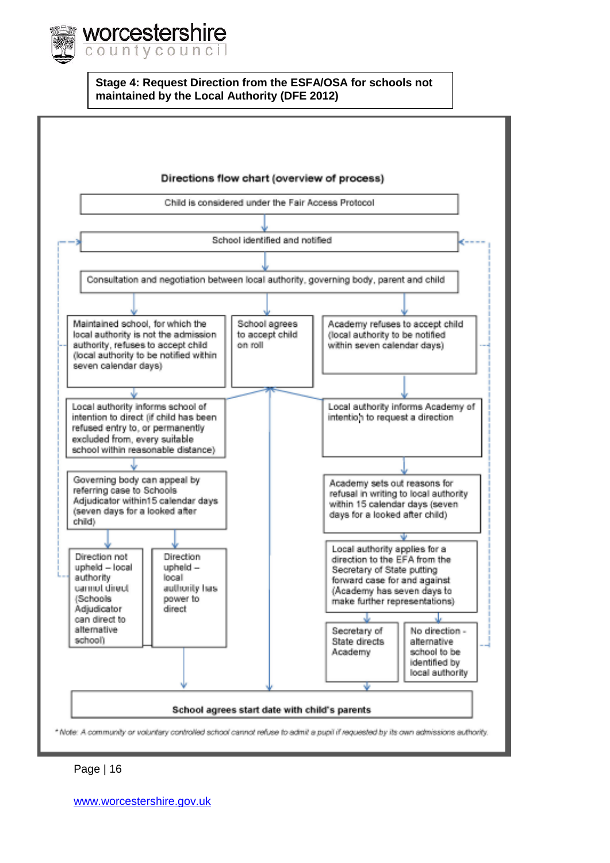

**Stage 4: Request Direction from the ESFA/OSA for schools not maintained by the Local Authority (DFE 2012)**

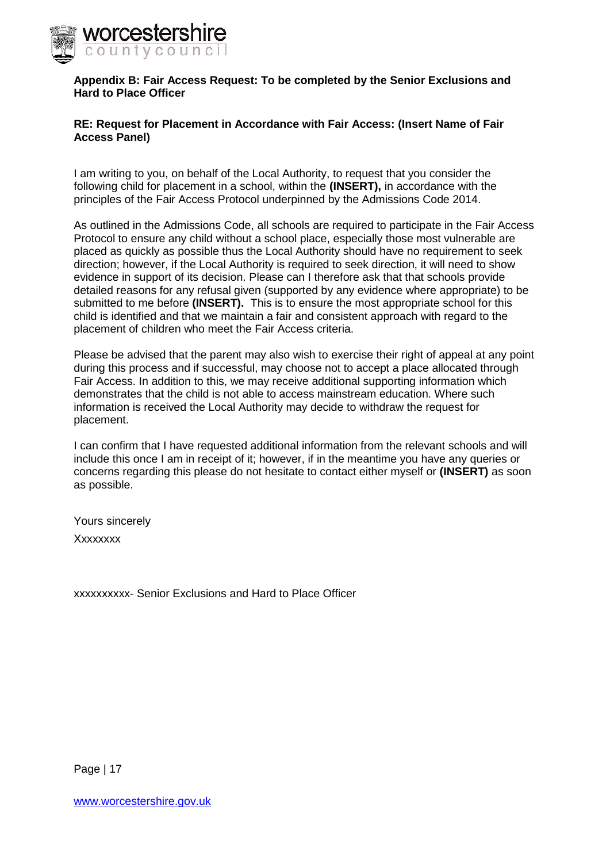

#### <span id="page-16-0"></span>**Appendix B: Fair Access Request: To be completed by the Senior Exclusions and Hard to Place Officer**

#### **RE: Request for Placement in Accordance with Fair Access: (Insert Name of Fair Access Panel)**

I am writing to you, on behalf of the Local Authority, to request that you consider the following child for placement in a school, within the **(INSERT),** in accordance with the principles of the Fair Access Protocol underpinned by the Admissions Code 2014.

As outlined in the Admissions Code, all schools are required to participate in the Fair Access Protocol to ensure any child without a school place, especially those most vulnerable are placed as quickly as possible thus the Local Authority should have no requirement to seek direction; however, if the Local Authority is required to seek direction, it will need to show evidence in support of its decision. Please can I therefore ask that that schools provide detailed reasons for any refusal given (supported by any evidence where appropriate) to be submitted to me before **(INSERT).** This is to ensure the most appropriate school for this child is identified and that we maintain a fair and consistent approach with regard to the placement of children who meet the Fair Access criteria.

Please be advised that the parent may also wish to exercise their right of appeal at any point during this process and if successful, may choose not to accept a place allocated through Fair Access. In addition to this, we may receive additional supporting information which demonstrates that the child is not able to access mainstream education. Where such information is received the Local Authority may decide to withdraw the request for placement.

I can confirm that I have requested additional information from the relevant schools and will include this once I am in receipt of it; however, if in the meantime you have any queries or concerns regarding this please do not hesitate to contact either myself or **(INSERT)** as soon as possible.

Yours sincerely Xxxxxxxx

xxxxxxxxxx- Senior Exclusions and Hard to Place Officer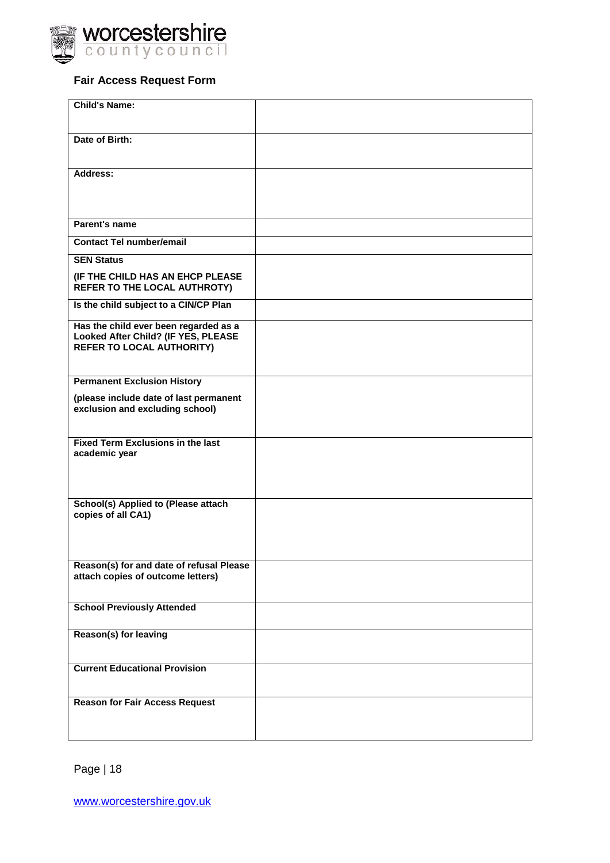

#### **Fair Access Request Form**

| <b>Child's Name:</b>                                                                                             |  |
|------------------------------------------------------------------------------------------------------------------|--|
| Date of Birth:                                                                                                   |  |
| <b>Address:</b>                                                                                                  |  |
| Parent's name                                                                                                    |  |
| <b>Contact Tel number/email</b>                                                                                  |  |
| <b>SEN Status</b>                                                                                                |  |
| (IF THE CHILD HAS AN EHCP PLEASE<br>REFER TO THE LOCAL AUTHROTY)                                                 |  |
| Is the child subject to a CIN/CP Plan                                                                            |  |
| Has the child ever been regarded as a<br>Looked After Child? (IF YES, PLEASE<br><b>REFER TO LOCAL AUTHORITY)</b> |  |
| <b>Permanent Exclusion History</b>                                                                               |  |
| (please include date of last permanent<br>exclusion and excluding school)                                        |  |
| <b>Fixed Term Exclusions in the last</b><br>academic year                                                        |  |
| School(s) Applied to (Please attach<br>copies of all CA1)                                                        |  |
| Reason(s) for and date of refusal Please<br>attach copies of outcome letters)                                    |  |
| <b>School Previously Attended</b>                                                                                |  |
| Reason(s) for leaving                                                                                            |  |
| <b>Current Educational Provision</b>                                                                             |  |
| <b>Reason for Fair Access Request</b>                                                                            |  |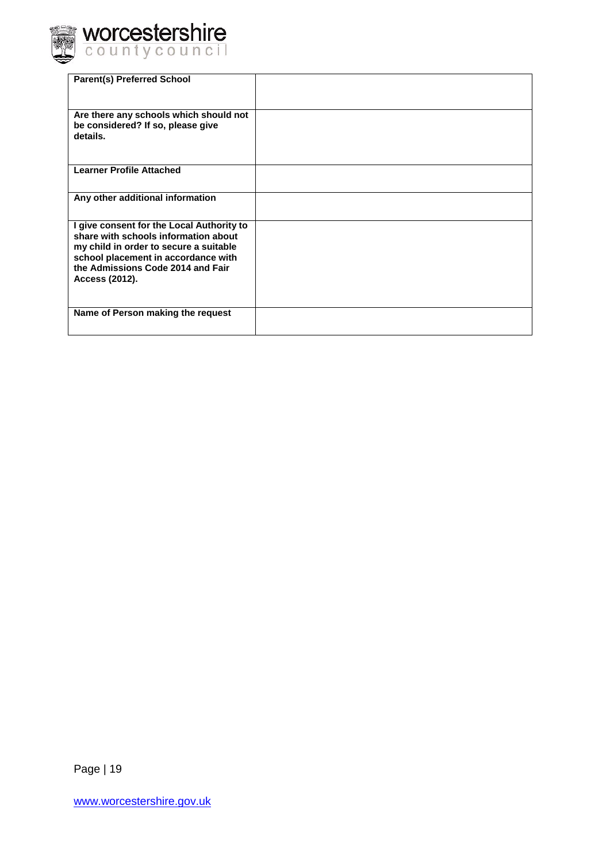

| <b>Parent(s) Preferred School</b>                                                                                                                                                                                         |  |
|---------------------------------------------------------------------------------------------------------------------------------------------------------------------------------------------------------------------------|--|
| Are there any schools which should not<br>be considered? If so, please give<br>details.                                                                                                                                   |  |
| <b>Learner Profile Attached</b>                                                                                                                                                                                           |  |
| Any other additional information                                                                                                                                                                                          |  |
| I give consent for the Local Authority to<br>share with schools information about<br>my child in order to secure a suitable<br>school placement in accordance with<br>the Admissions Code 2014 and Fair<br>Access (2012). |  |
| Name of Person making the request                                                                                                                                                                                         |  |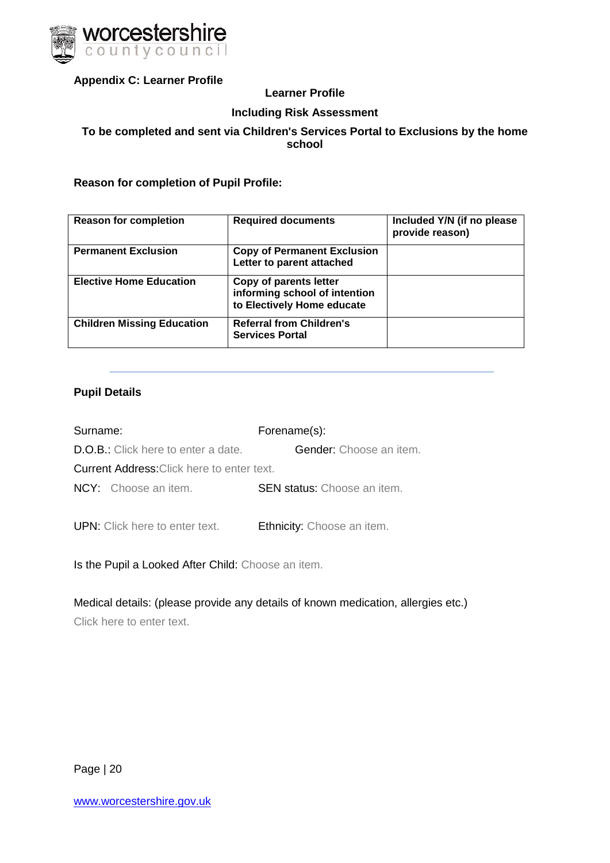

<span id="page-19-0"></span>**Appendix C: Learner Profile**

#### **Learner Profile**

#### **Including Risk Assessment**

#### **To be completed and sent via Children's Services Portal to Exclusions by the home school**

**Reason for completion of Pupil Profile:** 

| <b>Reason for completion</b>      | <b>Required documents</b>                                                             | Included Y/N (if no please<br>provide reason) |
|-----------------------------------|---------------------------------------------------------------------------------------|-----------------------------------------------|
| <b>Permanent Exclusion</b>        | <b>Copy of Permanent Exclusion</b><br>Letter to parent attached                       |                                               |
| <b>Elective Home Education</b>    | Copy of parents letter<br>informing school of intention<br>to Electively Home educate |                                               |
| <b>Children Missing Education</b> | <b>Referral from Children's</b><br><b>Services Portal</b>                             |                                               |

#### **Pupil Details**

| Surname:                                          | Forename(s):                       |
|---------------------------------------------------|------------------------------------|
| <b>D.O.B.:</b> Click here to enter a date.        | <b>Gender:</b> Choose an item.     |
| <b>Current Address:</b> Click here to enter text. |                                    |
| <b>NCY:</b> Choose an item.                       | <b>SEN status:</b> Choose an item. |
|                                                   |                                    |
| <b>UPN:</b> Click here to enter text.             | Ethnicity: Choose an item.         |

Is the Pupil a Looked After Child: Choose an item.

Medical details: (please provide any details of known medication, allergies etc.)

Click here to enter text.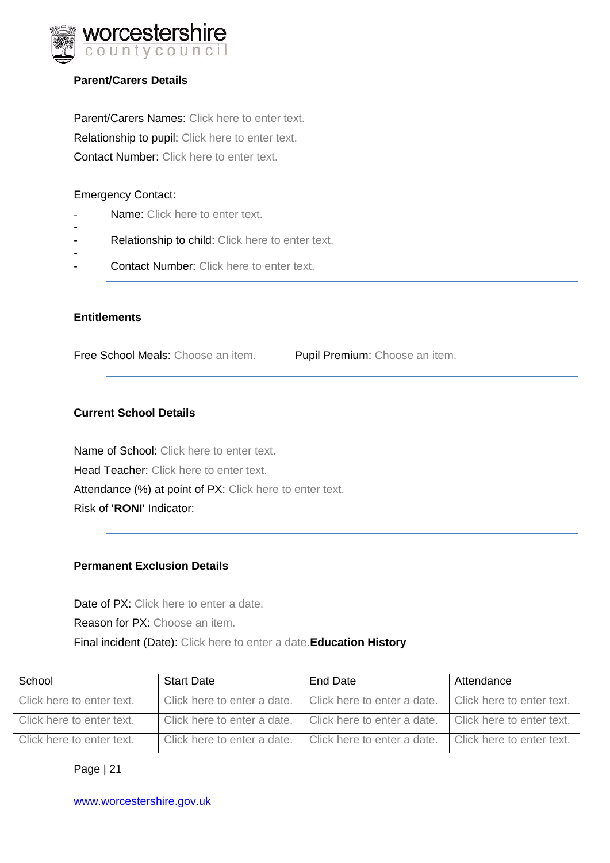

#### **Parent/Carers Details**

Parent/Carers Names: Click here to enter text. Relationship to pupil: Click here to enter text. Contact Number: Click here to enter text.

#### Emergency Contact:

- Name: Click here to enter text.
- - Relationship to child: Click here to enter text.
- Contact Number: Click here to enter text.

#### **Entitlements**

Free School Meals: Choose an item. Pupil Premium: Choose an item.

#### **Current School Details**

Name of School: Click here to enter text. Head Teacher: Click here to enter text. Attendance (%) at point of PX: Click here to enter text. Risk of **'RONI'** Indicator:

#### **Permanent Exclusion Details**

Date of PX: Click here to enter a date. Reason for PX: Choose an item. Final incident (Date): Click here to enter a date.**Education History**

| School                    | <b>Start Date</b>           | End Date                    | Attendance                |
|---------------------------|-----------------------------|-----------------------------|---------------------------|
| Click here to enter text. | Click here to enter a date. | Click here to enter a date. | Click here to enter text. |
| Click here to enter text. | Click here to enter a date. | Click here to enter a date. | Click here to enter text. |
| Click here to enter text. | Click here to enter a date. | Click here to enter a date. | Click here to enter text. |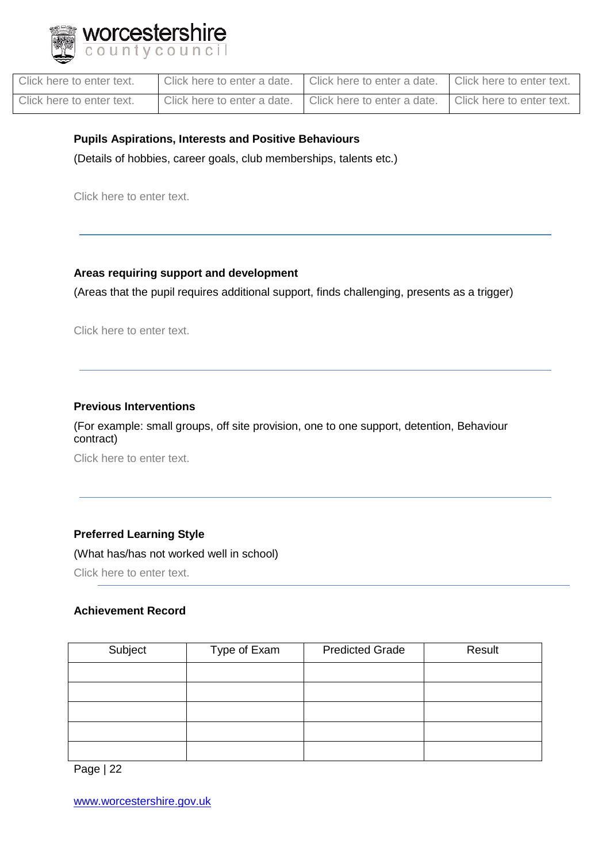

| Click here to enter text. | Click here to enter a date. | Click here to enter a date. | Click here to enter text. |
|---------------------------|-----------------------------|-----------------------------|---------------------------|
| Click here to enter text. | Click here to enter a date. | Click here to enter a date. | Click here to enter text. |

#### **Pupils Aspirations, Interests and Positive Behaviours**

(Details of hobbies, career goals, club memberships, talents etc.)

Click here to enter text.

#### **Areas requiring support and development**

(Areas that the pupil requires additional support, finds challenging, presents as a trigger)

Click here to enter text.

#### **Previous Interventions**

(For example: small groups, off site provision, one to one support, detention, Behaviour contract)

Click here to enter text.

#### **Preferred Learning Style**

(What has/has not worked well in school)

Click here to enter text.

#### **Achievement Record**

| Subject | Type of Exam | <b>Predicted Grade</b> | Result |
|---------|--------------|------------------------|--------|
|         |              |                        |        |
|         |              |                        |        |
|         |              |                        |        |
|         |              |                        |        |
|         |              |                        |        |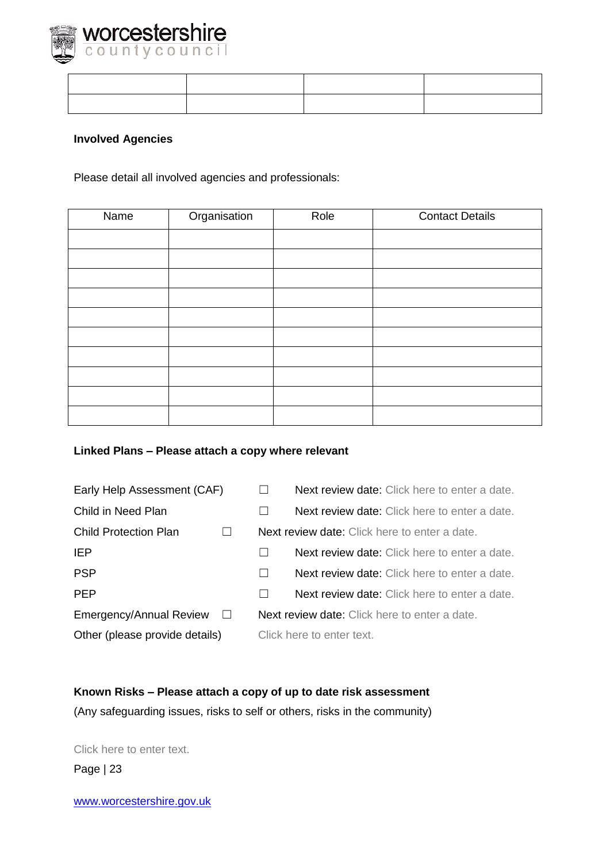

#### **Involved Agencies**

Please detail all involved agencies and professionals:

| Name | Organisation | Role | <b>Contact Details</b> |
|------|--------------|------|------------------------|
|      |              |      |                        |
|      |              |      |                        |
|      |              |      |                        |
|      |              |      |                        |
|      |              |      |                        |
|      |              |      |                        |
|      |              |      |                        |
|      |              |      |                        |
|      |              |      |                        |
|      |              |      |                        |

#### **Linked Plans – Please attach a copy where relevant**

| Early Help Assessment (CAF)        |                                               | <b>Next review date:</b> Click here to enter a date. |  |
|------------------------------------|-----------------------------------------------|------------------------------------------------------|--|
| Child in Need Plan                 |                                               | <b>Next review date:</b> Click here to enter a date. |  |
| <b>Child Protection Plan</b>       |                                               | <b>Next review date:</b> Click here to enter a date. |  |
| IEP.                               |                                               | <b>Next review date:</b> Click here to enter a date. |  |
| <b>PSP</b>                         |                                               | <b>Next review date:</b> Click here to enter a date. |  |
| <b>PEP</b>                         |                                               | <b>Next review date:</b> Click here to enter a date. |  |
| Emergency/Annual Review<br>$\perp$ | Next review date: Click here to enter a date. |                                                      |  |
| Other (please provide details)     | Click here to enter text.                     |                                                      |  |

**Known Risks – Please attach a copy of up to date risk assessment** (Any safeguarding issues, risks to self or others, risks in the community)

Page | 23 Click here to enter text.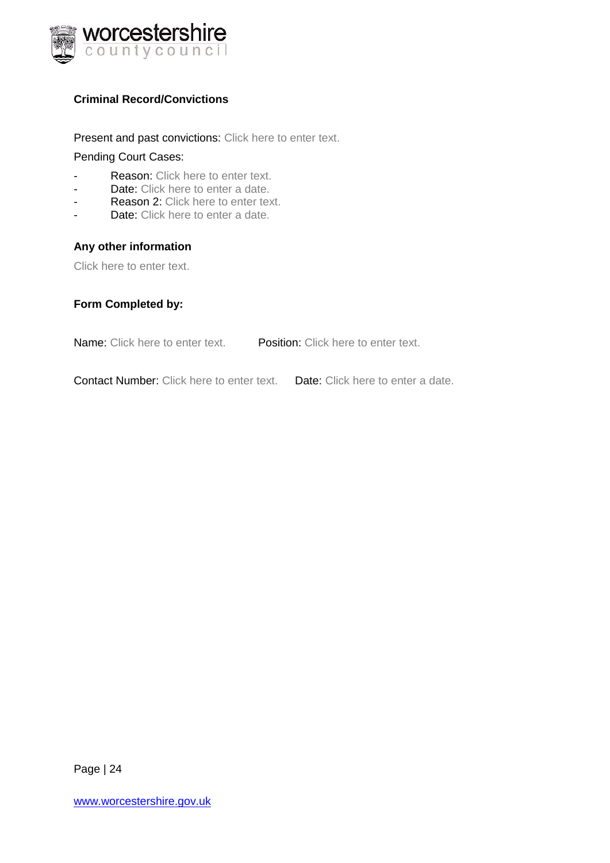

#### **Criminal Record/Convictions**

Present and past convictions: Click here to enter text.

#### Pending Court Cases:

- Reason: Click here to enter text.
- Date: Click here to enter a date.
- Reason 2: Click here to enter text.
- Date: Click here to enter a date.

#### **Any other information**

Click here to enter text.

#### **Form Completed by:**

Name: Click here to enter text. Position: Click here to enter text.

Contact Number: Click here to enter text. Date: Click here to enter a date.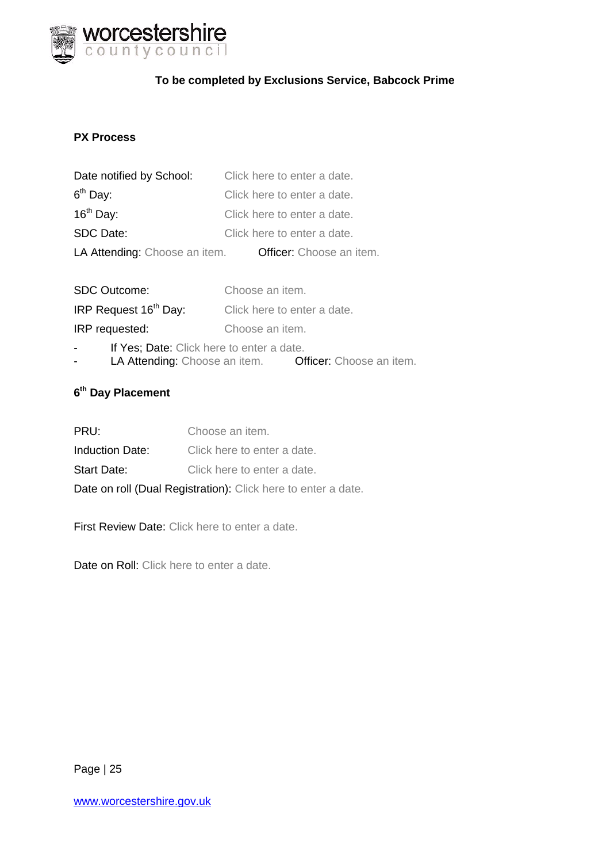

#### **To be completed by Exclusions Service, Babcock Prime**

#### **PX Process**

| Date notified by School:      | Click here to enter a date. |
|-------------------------------|-----------------------------|
| $6th$ Day:                    | Click here to enter a date. |
| $16th$ Day:                   | Click here to enter a date. |
| SDC Date:                     | Click here to enter a date. |
| LA Attending: Choose an item. | Officer: Choose an item.    |

| <b>SDC Outcome:</b>               | Choose an item.             |
|-----------------------------------|-----------------------------|
| IRP Request 16 <sup>th</sup> Day: | Click here to enter a date. |
| IRP requested:                    | Choose an item.             |

- If Yes; Date: Click here to enter a date.
- LA Attending: Choose an item. Officer: Choose an item.

#### **6 th Day Placement**

| PRU:                                                          | Choose an item.             |  |  |  |
|---------------------------------------------------------------|-----------------------------|--|--|--|
| <b>Induction Date:</b>                                        | Click here to enter a date. |  |  |  |
| <b>Start Date:</b>                                            | Click here to enter a date. |  |  |  |
| Date on roll (Dual Registration): Click here to enter a date. |                             |  |  |  |

First Review Date: Click here to enter a date.

Date on Roll: Click here to enter a date.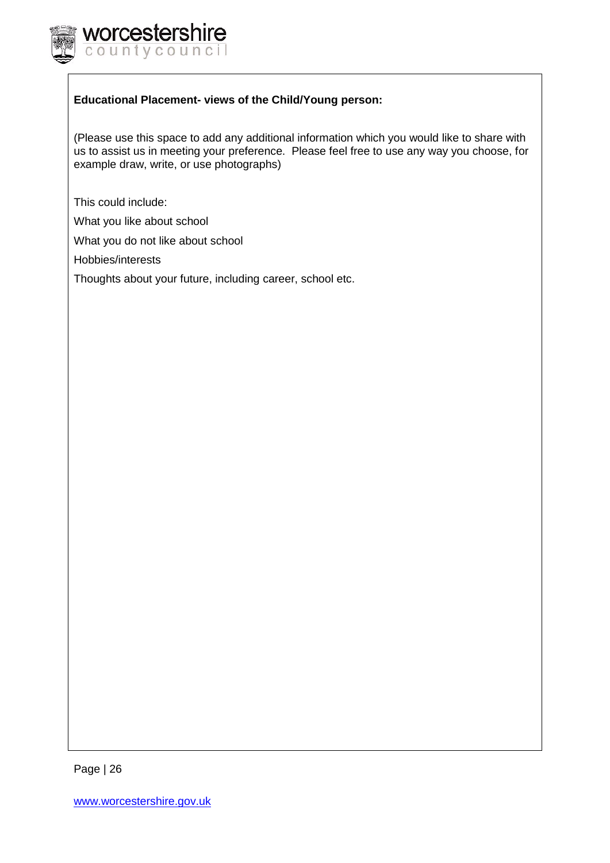

#### **Educational Placement- views of the Child/Young person:**

(Please use this space to add any additional information which you would like to share with us to assist us in meeting your preference. Please feel free to use any way you choose, for example draw, write, or use photographs)

This could include:

What you like about school

What you do not like about school

Hobbies/interests

Thoughts about your future, including career, school etc.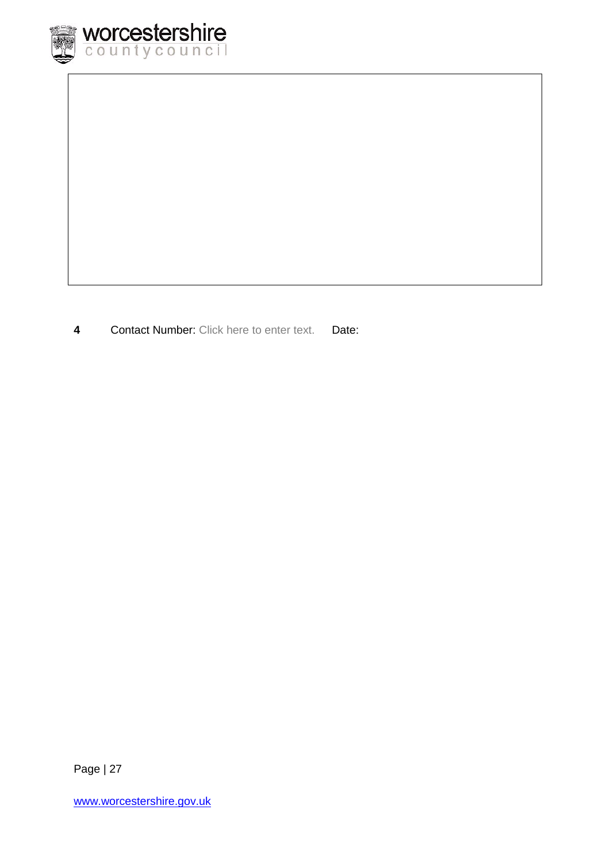

**4** Contact Number: Click here to enter text. Date: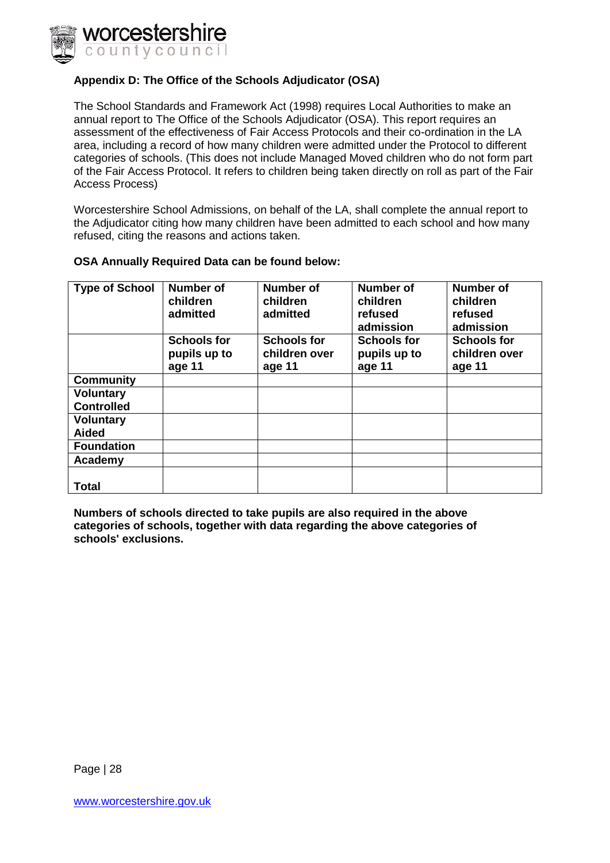

#### <span id="page-27-0"></span>**Appendix D: The Office of the Schools Adjudicator (OSA)**

The School Standards and Framework Act (1998) requires Local Authorities to make an annual report to The Office of the Schools Adjudicator (OSA). This report requires an assessment of the effectiveness of Fair Access Protocols and their co-ordination in the LA area, including a record of how many children were admitted under the Protocol to different categories of schools. (This does not include Managed Moved children who do not form part of the Fair Access Protocol. It refers to children being taken directly on roll as part of the Fair Access Process)

Worcestershire School Admissions, on behalf of the LA, shall complete the annual report to the Adjudicator citing how many children have been admitted to each school and how many refused, citing the reasons and actions taken.

| <b>Type of School</b> | Number of<br>children<br>admitted            | Number of<br>children<br>admitted             | Number of<br>children<br>refused<br>admission | <b>Number of</b><br>children<br>refused<br>admission |
|-----------------------|----------------------------------------------|-----------------------------------------------|-----------------------------------------------|------------------------------------------------------|
|                       | <b>Schools for</b><br>pupils up to<br>age 11 | <b>Schools for</b><br>children over<br>age 11 | <b>Schools for</b><br>pupils up to<br>age 11  | <b>Schools for</b><br>children over<br>age 11        |
| <b>Community</b>      |                                              |                                               |                                               |                                                      |
| <b>Voluntary</b>      |                                              |                                               |                                               |                                                      |
| <b>Controlled</b>     |                                              |                                               |                                               |                                                      |
| <b>Voluntary</b>      |                                              |                                               |                                               |                                                      |
| <b>Aided</b>          |                                              |                                               |                                               |                                                      |
| <b>Foundation</b>     |                                              |                                               |                                               |                                                      |
| Academy               |                                              |                                               |                                               |                                                      |
| <b>Total</b>          |                                              |                                               |                                               |                                                      |

#### **OSA Annually Required Data can be found below:**

**Numbers of schools directed to take pupils are also required in the above categories of schools, together with data regarding the above categories of schools' exclusions.**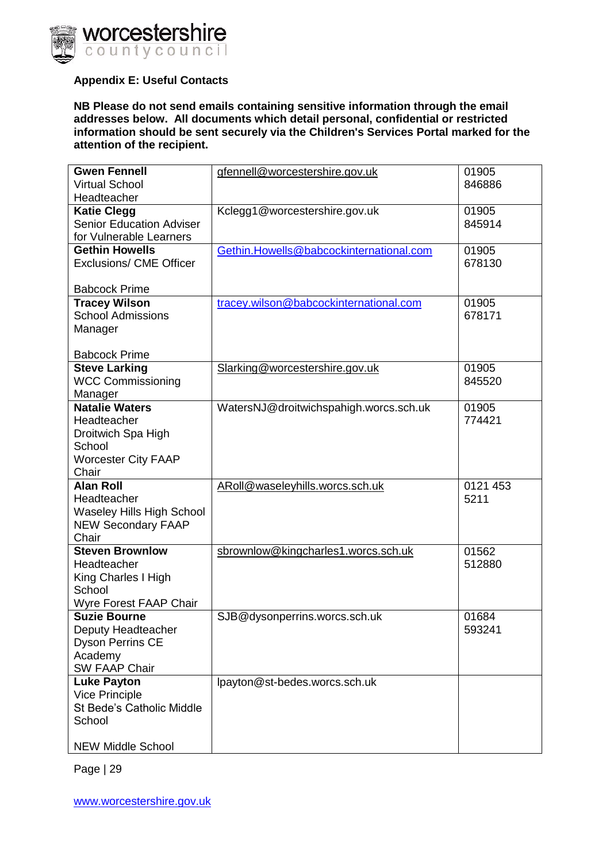

#### <span id="page-28-0"></span>**Appendix E: Useful Contacts**

**NB Please do not send emails containing sensitive information through the email addresses below. All documents which detail personal, confidential or restricted information should be sent securely via the Children's Services Portal marked for the attention of the recipient.**

| <b>Gwen Fennell</b><br><b>Virtual School</b>                                                                   | gfennell@worcestershire.gov.uk          | 01905<br>846886  |
|----------------------------------------------------------------------------------------------------------------|-----------------------------------------|------------------|
| Headteacher                                                                                                    |                                         |                  |
| <b>Katie Clegg</b><br><b>Senior Education Adviser</b><br>for Vulnerable Learners                               | Kclegg1@worcestershire.gov.uk           | 01905<br>845914  |
| <b>Gethin Howells</b><br><b>Exclusions/ CME Officer</b><br><b>Babcock Prime</b>                                | Gethin.Howells@babcockinternational.com | 01905<br>678130  |
| <b>Tracey Wilson</b><br><b>School Admissions</b><br>Manager<br><b>Babcock Prime</b>                            | tracey.wilson@babcockinternational.com  | 01905<br>678171  |
| <b>Steve Larking</b><br><b>WCC Commissioning</b><br>Manager                                                    | Slarking@worcestershire.gov.uk          | 01905<br>845520  |
| <b>Natalie Waters</b><br>Headteacher<br>Droitwich Spa High<br>School<br><b>Worcester City FAAP</b><br>Chair    | WatersNJ@droitwichspahigh.worcs.sch.uk  | 01905<br>774421  |
| <b>Alan Roll</b><br>Headteacher<br><b>Waseley Hills High School</b><br><b>NEW Secondary FAAP</b><br>Chair      | ARoll@waseleyhills.worcs.sch.uk         | 0121 453<br>5211 |
| <b>Steven Brownlow</b><br>Headteacher<br>King Charles I High<br>School<br>Wyre Forest FAAP Chair               | sbrownlow@kingcharles1.worcs.sch.uk     | 01562<br>512880  |
| <b>Suzie Bourne</b><br>Deputy Headteacher<br><b>Dyson Perrins CE</b><br>Academy<br><b>SW FAAP Chair</b>        | SJB@dysonperrins.worcs.sch.uk           | 01684<br>593241  |
| <b>Luke Payton</b><br><b>Vice Principle</b><br>St Bede's Catholic Middle<br>School<br><b>NEW Middle School</b> | lpayton@st-bedes.worcs.sch.uk           |                  |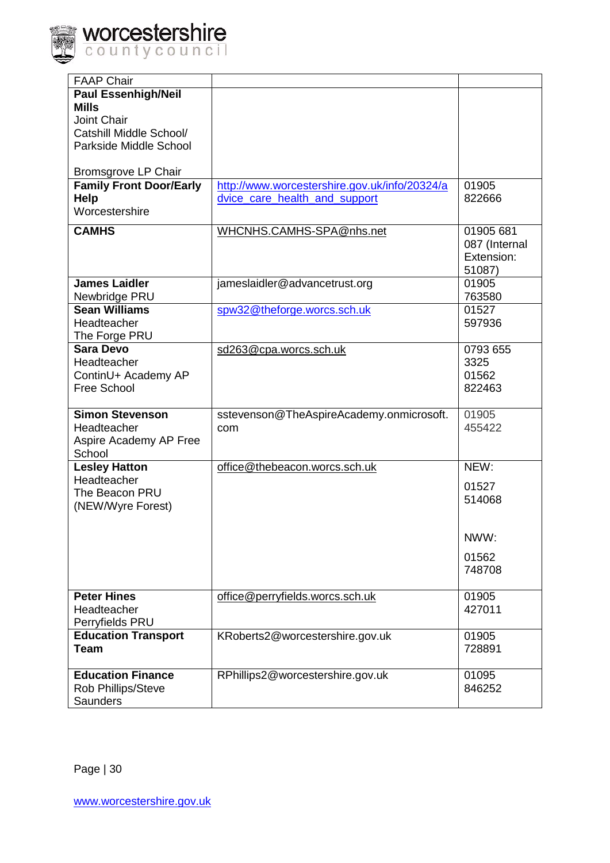

| <b>FAAP Chair</b>              |                                               |               |
|--------------------------------|-----------------------------------------------|---------------|
| <b>Paul Essenhigh/Neil</b>     |                                               |               |
| <b>Mills</b>                   |                                               |               |
| <b>Joint Chair</b>             |                                               |               |
| Catshill Middle School/        |                                               |               |
|                                |                                               |               |
| Parkside Middle School         |                                               |               |
| <b>Bromsgrove LP Chair</b>     |                                               |               |
| <b>Family Front Door/Early</b> | http://www.worcestershire.gov.uk/info/20324/a | 01905         |
| Help                           | dvice_care_health_and_support                 | 822666        |
| Worcestershire                 |                                               |               |
|                                |                                               |               |
| <b>CAMHS</b>                   | WHCNHS.CAMHS-SPA@nhs.net                      | 01905 681     |
|                                |                                               | 087 (Internal |
|                                |                                               | Extension:    |
|                                |                                               | 51087)        |
| <b>James Laidler</b>           | jameslaidler@advancetrust.org                 | 01905         |
| Newbridge PRU                  |                                               | 763580        |
| <b>Sean Williams</b>           | spw32@theforge.worcs.sch.uk                   | 01527         |
| Headteacher                    |                                               | 597936        |
| The Forge PRU                  |                                               |               |
| <b>Sara Devo</b>               | sd263@cpa.worcs.sch.uk                        | 0793 655      |
| Headteacher                    |                                               | 3325          |
| ContinU+ Academy AP            |                                               | 01562         |
| Free School                    |                                               | 822463        |
|                                |                                               |               |
| <b>Simon Stevenson</b>         | sstevenson@TheAspireAcademy.onmicrosoft.      | 01905         |
| Headteacher                    | com                                           | 455422        |
| Aspire Academy AP Free         |                                               |               |
| School                         |                                               |               |
| <b>Lesley Hatton</b>           | office@thebeacon.worcs.sch.uk                 | NEW:          |
| Headteacher                    |                                               |               |
| The Beacon PRU                 |                                               | 01527         |
|                                |                                               | 514068        |
| (NEW/Wyre Forest)              |                                               |               |
|                                |                                               |               |
|                                |                                               | NWW:          |
|                                |                                               | 01562         |
|                                |                                               | 748708        |
|                                |                                               |               |
| <b>Peter Hines</b>             | office@perryfields.worcs.sch.uk               | 01905         |
| Headteacher                    |                                               | 427011        |
| Perryfields PRU                |                                               |               |
| <b>Education Transport</b>     | KRoberts2@worcestershire.gov.uk               | 01905         |
| <b>Team</b>                    |                                               | 728891        |
|                                |                                               |               |
| <b>Education Finance</b>       | RPhillips2@worcestershire.gov.uk              | 01095         |
| Rob Phillips/Steve             |                                               | 846252        |
| <b>Saunders</b>                |                                               |               |
|                                |                                               |               |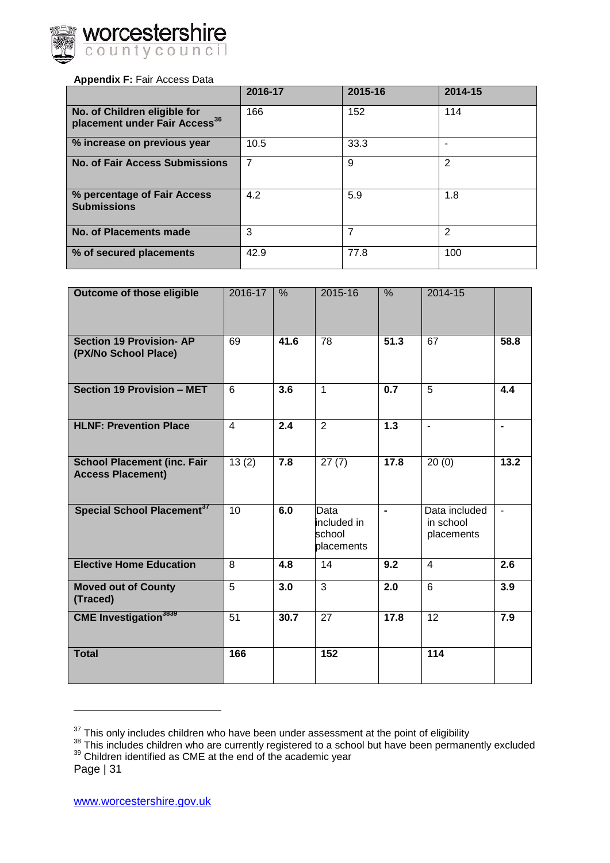

#### <span id="page-30-0"></span>**Appendix F:** Fair Access Data

|                                                                           | 2016-17 | 2015-16 | 2014-15 |
|---------------------------------------------------------------------------|---------|---------|---------|
| No. of Children eligible for<br>placement under Fair Access <sup>36</sup> | 166     | 152     | 114     |
| % increase on previous year                                               | 10.5    | 33.3    |         |
| <b>No. of Fair Access Submissions</b>                                     |         | 9       | 2       |
| % percentage of Fair Access<br><b>Submissions</b>                         | 4.2     | 5.9     | 1.8     |
| <b>No. of Placements made</b>                                             | 3       | 7       | 2       |
| % of secured placements                                                   | 42.9    | 77.8    | 100     |

| Outcome of those eligible                                      | 2016-17         | %    | 2015-16                                     | %                | 2014-15                                  |                  |
|----------------------------------------------------------------|-----------------|------|---------------------------------------------|------------------|------------------------------------------|------------------|
| <b>Section 19 Provision- AP</b><br>(PX/No School Place)        | 69              | 41.6 | 78                                          | 51.3             | 67                                       | 58.8             |
| Section 19 Provision - MET                                     | 6               | 3.6  | $\mathbf{1}$                                | 0.7              | 5                                        | 4.4              |
| <b>HLNF: Prevention Place</b>                                  | 4               | 2.4  | $\overline{2}$                              | 1.3              | $\blacksquare$                           | $\blacksquare$   |
| <b>School Placement (inc. Fair</b><br><b>Access Placement)</b> | 13(2)           | 7.8  | 27(7)                                       | 17.8             | 20(0)                                    | 13.2             |
| Special School Placement <sup>37</sup>                         | 10              | 6.0  | Data<br>included in<br>school<br>placements | $\blacksquare$   | Data included<br>in school<br>placements |                  |
| <b>Elective Home Education</b>                                 | 8               | 4.8  | 14                                          | 9.2              | $\overline{4}$                           | $\overline{2.6}$ |
| <b>Moved out of County</b><br>(Traced)                         | 5               | 3.0  | $\overline{3}$                              | $\overline{2.0}$ | 6                                        | 3.9              |
| <b>CME</b> Investigation <sup>3839</sup>                       | $\overline{51}$ | 30.7 | 27                                          | 17.8             | 12                                       | 7.9              |
| <b>Total</b>                                                   | 166             |      | 152                                         |                  | 114                                      |                  |

 $37$  This only includes children who have been under assessment at the point of eligibility

Page | 31

 $\overline{a}$ 

<sup>&</sup>lt;sup>38</sup> This includes children who are currently registered to a school but have been permanently excluded  $39$  Children identified as CME at the end of the academic year